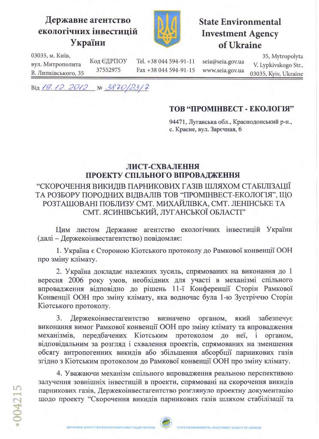## Державне агентство екологічних інвестицій України



## **State Environmental Investment Agency** of Ukraine

03035, м. Київ, вул. Митрополита

Код ЄДРПОУ 37552975 В. Липківського, 35

Tel. +38 044 594-91-11 Fax +38 044 594-91-15 seia@seia.gov.ua www.seia.gov.ua

35, Mytropolyta V. Lypkivskogo Str., 03035, Kyiv, Ukraine

Від 19.12.2012 № 3870/23/7

## ТОВ "ПРОМІНВЕСТ - ЕКОЛОГІЯ"

94471, Луганська обл., Краснодонський р-н., с. Красне, вул. Зарєчная, б

## ЛИСТ-СХВАЛЕННЯ ПРОЕКТУ СПІЛЬНОГО ВПРОВАДЖЕННЯ

"СКОРОЧЕННЯ ВИКИДІВ ПАРНИКОВИХ ГАЗІВ ШЛЯХОМ СТАБІЛІЗАЦІЇ ТА РОЗБОРУ ПОРОДНИХ ВІДВАЛІВ ТОВ "ПРОМІНВЕСТ-ЕКОЛОГІЯ", ЩО РОЗТАШОВАНІ ПОБЛИЗУ СМТ. МИХАЙЛІВКА, СМТ. ЛЕНІНСЬКЕ ТА СМТ. ЯСИНІВСЬКИЙ, ЛУГАНСЬКОЇ ОБЛАСТІ"

Цим листом Державне агентство екологічних інвестицій України (далі - Держекоінвестагентство) повідомляє:

1. Україна є Стороною Кіотського протоколу до Рамкової конвенції ООН про зміну клімату.

2. Україна докладає належних зусиль, спрямованих на виконання до 1 вересня 2006 року умов, необхідних для участі в механізмі спільного впровадження відповідно до рішень 11-ї Конференції Сторін Рамкової Конвенції ООН про зміну клімату, яка водночас була 1-ю Зустріччю Сторін Кіотського протоколу.

3. Держекоінвестагентство визначено органом, який забезпечує виконання вимог Рамкової конвенції ООН про зміну клімату та впровадження механізмів, передбачених Кіотським протоколом до неї, і органом, відповідальним за розгляд і схвалення проектів, спрямованих на зменшення обсягу антропогенних викидів або збільшення абсорбції парникових газів згідно з Кіотським протоколом до Рамкової конвенції ООН про зміну клімату.

4. Уважаючи механізм спільного впровадження реальною перспективою залучення зовнішніх інвестицій в проекти, спрямовані на скорочення викидів парникових газів, Держекоінвестагентство розглянуло проектну документацію щодо проекту "Скорочення викидів парникових газів шляхом стабілізації та